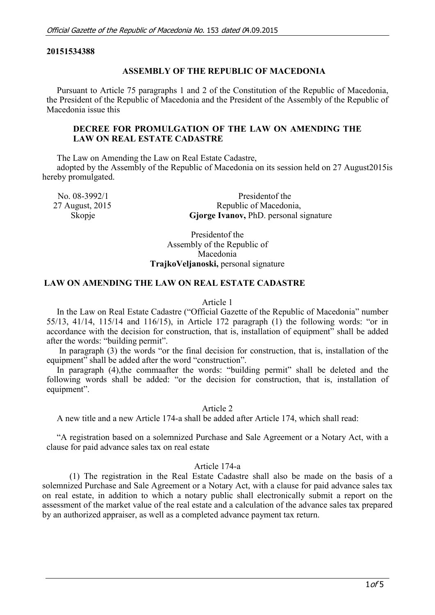#### **20151534388**

#### **ASSEMBLY OF THE REPUBLIC OF MACEDONIA**

Pursuant to Article 75 paragraphs 1 and 2 of the Constitution of the Republic of Macedonia, the President of the Republic of Macedonia and the President of the Assembly of the Republic of Macedonia issue this

## **DECREE FOR PROMULGATION OF THE LAW ON AMENDING THE LAW ON REAL ESTATE CADASTRE**

The Law on Amending the Law on Real Estate Cadastre,

adopted by the Assembly of the Republic of Macedonia on its session held on 27 August2015is hereby promulgated.

| No. 08-3992/1   | President of the                       |
|-----------------|----------------------------------------|
| 27 August, 2015 | Republic of Macedonia,                 |
| Skopje          | Gjorge Ivanov, PhD. personal signature |

Presidentof the Assembly of the Republic of Macedonia **TrajkoVeljanoski,** personal signature

#### **LAW ON AMENDING THE LAW ON REAL ESTATE CADASTRE**

#### Article 1

In the Law on Real Estate Cadastre ("Official Gazette of the Republic of Macedonia" number 55/13, 41/14, 115/14 and 116/15), in Article 172 paragraph (1) the following words: "or in accordance with the decision for construction, that is, installation of equipment" shall be added after the words: "building permit".

In paragraph (3) the words "or the final decision for construction, that is, installation of the equipment" shall be added after the word "construction".

In paragraph (4), the commaafter the words: "building permit" shall be deleted and the following words shall be added: "or the decision for construction, that is, installation of equipment".

Article 2

A new title and a new Article 174-a shall be added after Article 174, which shall read:

"A registration based on a solemnized Purchase and Sale Agreement or a Notary Act, with a clause for paid advance sales tax on real estate

## Article 174-a

(1) The registration in the Real Estate Cadastre shall also be made on the basis of a solemnized Purchase and Sale Agreement or a Notary Act, with a clause for paid advance sales tax on real estate, in addition to which a notary public shall electronically submit a report on the assessment of the market value of the real estate and a calculation of the advance sales tax prepared by an authorized appraiser, as well as a completed advance payment tax return.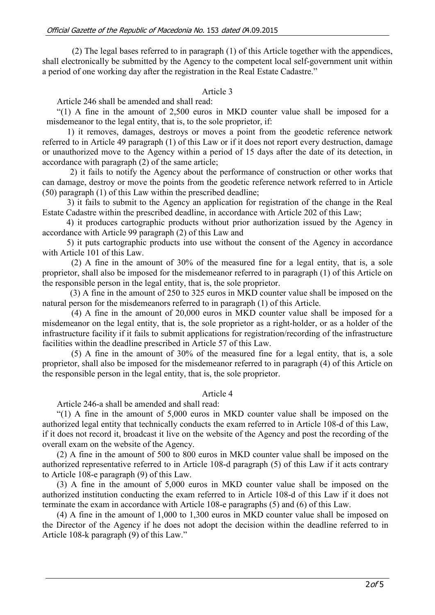(2) The legal bases referred to in paragraph (1) of this Article together with the appendices, shall electronically be submitted by the Agency to the competent local self-government unit within a period of one working day after the registration in the Real Estate Cadastre."

## Article 3

Article 246 shall be amended and shall read:

"(1) A fine in the amount of 2,500 euros in MKD counter value shall be imposed for a misdemeanor to the legal entity, that is, to the sole proprietor, if:

1) it removes, damages, destroys or moves a point from the geodetic reference network referred to in Article 49 paragraph (1) of this Law or if it does not report every destruction, damage or unauthorized move to the Agency within a period of 15 days after the date of its detection, in accordance with paragraph (2) of the same article;

2) it fails to notify the Agency about the performance of construction or other works that can damage, destroy or move the points from the geodetic reference network referred to in Article (50) paragraph (1) of this Law within the prescribed deadline;

3) it fails to submit to the Agency an application for registration of the change in the Real Estate Cadastre within the prescribed deadline, in accordance with Article 202 of this Law;

4) it produces cartographic products without prior authorization issued by the Agency in accordance with Article 99 paragraph (2) of this Law and

5) it puts cartographic products into use without the consent of the Agency in accordance with Article 101 of this Law.

(2) A fine in the amount of 30% of the measured fine for a legal entity, that is, a sole proprietor, shall also be imposed for the misdemeanor referred to in paragraph (1) of this Article on the responsible person in the legal entity, that is, the sole proprietor.

(3) A fine in the amount of 250 to 325 euros in MKD counter value shall be imposed on the natural person for the misdemeanors referred to in paragraph (1) of this Article.

(4) A fine in the amount of 20,000 euros in MKD counter value shall be imposed for a misdemeanor on the legal entity, that is, the sole proprietor as a right-holder, or as a holder of the infrastructure facility if it fails to submit applications for registration/recording of the infrastructure facilities within the deadline prescribed in Article 57 of this Law.

(5) A fine in the amount of 30% of the measured fine for a legal entity, that is, a sole proprietor, shall also be imposed for the misdemeanor referred to in paragraph (4) of this Article on the responsible person in the legal entity, that is, the sole proprietor.

## Article 4

Article 246-a shall be amended and shall read:

"(1) A fine in the amount of 5,000 euros in MKD counter value shall be imposed on the authorized legal entity that technically conducts the exam referred to in Article 108-d of this Law, if it does not record it, broadcast it live on the website of the Agency and post the recording of the overall exam on the website of the Agency.

(2) A fine in the amount of 500 to 800 euros in MKD counter value shall be imposed on the authorized representative referred to in Article 108-d paragraph (5) of this Law if it acts contrary to Article 108-e paragraph (9) of this Law.

(3) A fine in the amount of 5,000 euros in MKD counter value shall be imposed on the authorized institution conducting the exam referred to in Article 108-d of this Law if it does not terminate the exam in accordance with Article 108-e paragraphs (5) and (6) of this Law.

(4) A fine in the amount of 1,000 to 1,300 euros in MKD counter value shall be imposed on the Director of the Agency if he does not adopt the decision within the deadline referred to in Article 108-k paragraph (9) of this Law."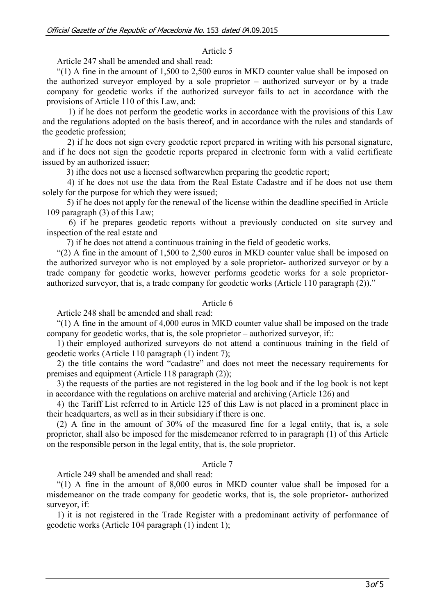# Article 5

Article 247 shall be amended and shall read:

 $(1)$  A fine in the amount of 1,500 to 2,500 euros in MKD counter value shall be imposed on the authorized surveyor employed by a sole proprietor – authorized surveyor or by a trade company for geodetic works if the authorized surveyor fails to act in accordance with the provisions of Article 110 of this Law, and:

1) if he does not perform the geodetic works in accordance with the provisions of this Law and the regulations adopted on the basis thereof, and in accordance with the rules and standards of the geodetic profession;

2) if he does not sign every geodetic report prepared in writing with his personal signature, and if he does not sign the geodetic reports prepared in electronic form with a valid certificate issued by an authorized issuer;

3) ifhe does not use a licensed softwarewhen preparing the geodetic report;

4) if he does not use the data from the Real Estate Cadastre and if he does not use them solely for the purpose for which they were issued;

5) if he does not apply for the renewal of the license within the deadline specified in Article 109 paragraph (3) of this Law;

6) if he prepares geodetic reports without a previously conducted on site survey and inspection of the real estate and

7) if he does not attend a continuous training in the field of geodetic works.

"(2) A fine in the amount of 1,500 to 2,500 euros in MKD counter value shall be imposed on the authorized surveyor who is not employed by a sole proprietor- authorized surveyor or by a trade company for geodetic works, however performs geodetic works for a sole proprietorauthorized surveyor, that is, a trade company for geodetic works (Article 110 paragraph (2))."

## Article 6

Article 248 shall be amended and shall read:

"(1) A fine in the amount of 4,000 euros in MKD counter value shall be imposed on the trade company for geodetic works, that is, the sole proprietor – authorized surveyor, if::

1) their employed authorized surveyors do not attend a continuous training in the field of geodetic works (Article 110 paragraph (1) indent 7);

2) the title contains the word "cadastre" and does not meet the necessary requirements for premises and equipment (Article 118 paragraph (2));

3) the requests of the parties are not registered in the log book and if the log book is not kept in accordance with the regulations on archive material and archiving (Article 126) and

4) the Tariff List referred to in Article 125 of this Law is not placed in a prominent place in their headquarters, as well as in their subsidiary if there is one.

(2) A fine in the amount of 30% of the measured fine for a legal entity, that is, a sole proprietor, shall also be imposed for the misdemeanor referred to in paragraph (1) of this Article on the responsible person in the legal entity, that is, the sole proprietor.

## Article 7

Article 249 shall be amended and shall read:

"(1) A fine in the amount of 8,000 euros in MKD counter value shall be imposed for a misdemeanor on the trade company for geodetic works, that is, the sole proprietor- authorized surveyor, if:

1) it is not registered in the Trade Register with a predominant activity of performance of geodetic works (Article 104 paragraph (1) indent 1);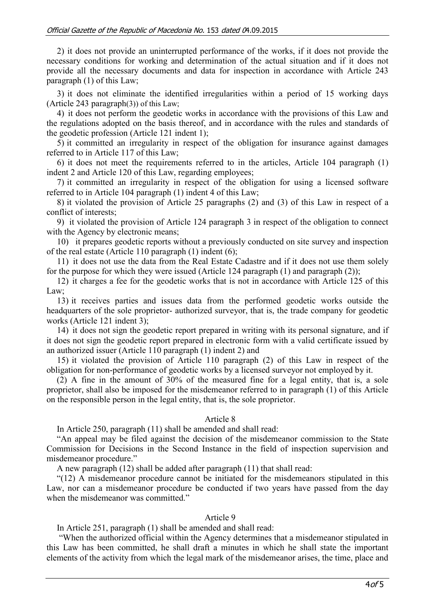2) it does not provide an uninterrupted performance of the works, if it does not provide the necessary conditions for working and determination of the actual situation and if it does not provide all the necessary documents and data for inspection in accordance with Article 243 paragraph (1) of this Law;

3) it does not eliminate the identified irregularities within a period of 15 working days (Article 243 paragraph(3)) of this Law;

4) it does not perform the geodetic works in accordance with the provisions of this Law and the regulations adopted on the basis thereof, and in accordance with the rules and standards of the geodetic profession (Article 121 indent 1);

5) it committed an irregularity in respect of the obligation for insurance against damages referred to in Article 117 of this Law;

6) it does not meet the requirements referred to in the articles, Article 104 paragraph (1) indent 2 and Article 120 of this Law, regarding employees;

7) it committed an irregularity in respect of the obligation for using a licensed software referred to in Article 104 paragraph (1) indent 4 of this Law;

8) it violated the provision of Article 25 paragraphs (2) and (3) of this Law in respect of a conflict of interests;

9) it violated the provision of Article 124 paragraph 3 in respect of the obligation to connect with the Agency by electronic means;

10) it prepares geodetic reports without a previously conducted on site survey and inspection of the real estate (Article 110 paragraph (1) indent (6);

11) it does not use the data from the Real Estate Cadastre and if it does not use them solely for the purpose for which they were issued (Article 124 paragraph (1) and paragraph (2));

12) it charges a fee for the geodetic works that is not in accordance with Article 125 of this Law;

13) it receives parties and issues data from the performed geodetic works outside the headquarters of the sole proprietor- authorized surveyor, that is, the trade company for geodetic works (Article 121 indent 3);

14) it does not sign the geodetic report prepared in writing with its personal signature, and if it does not sign the geodetic report prepared in electronic form with a valid certificate issued by an authorized issuer (Article 110 paragraph (1) indent 2) and

15) it violated the provision of Article 110 paragraph (2) of this Law in respect of the obligation for non-performance of geodetic works by a licensed surveyor not employed by it.

(2) A fine in the amount of 30% of the measured fine for a legal entity, that is, a sole proprietor, shall also be imposed for the misdemeanor referred to in paragraph (1) of this Article on the responsible person in the legal entity, that is, the sole proprietor.

## Article 8

In Article 250, paragraph (11) shall be amended and shall read:

"An appeal may be filed against the decision of the misdemeanor commission to the State Commission for Decisions in the Second Instance in the field of inspection supervision and misdemeanor procedure."

A new paragraph (12) shall be added after paragraph (11) that shall read:

"(12) A misdemeanor procedure cannot be initiated for the misdemeanors stipulated in this Law, nor can a misdemeanor procedure be conducted if two years have passed from the day when the misdemeanor was committed."

#### Article 9

In Article 251, paragraph (1) shall be amended and shall read:

"When the authorized official within the Agency determines that a misdemeanor stipulated in this Law has been committed, he shall draft a minutes in which he shall state the important elements of the activity from which the legal mark of the misdemeanor arises, the time, place and